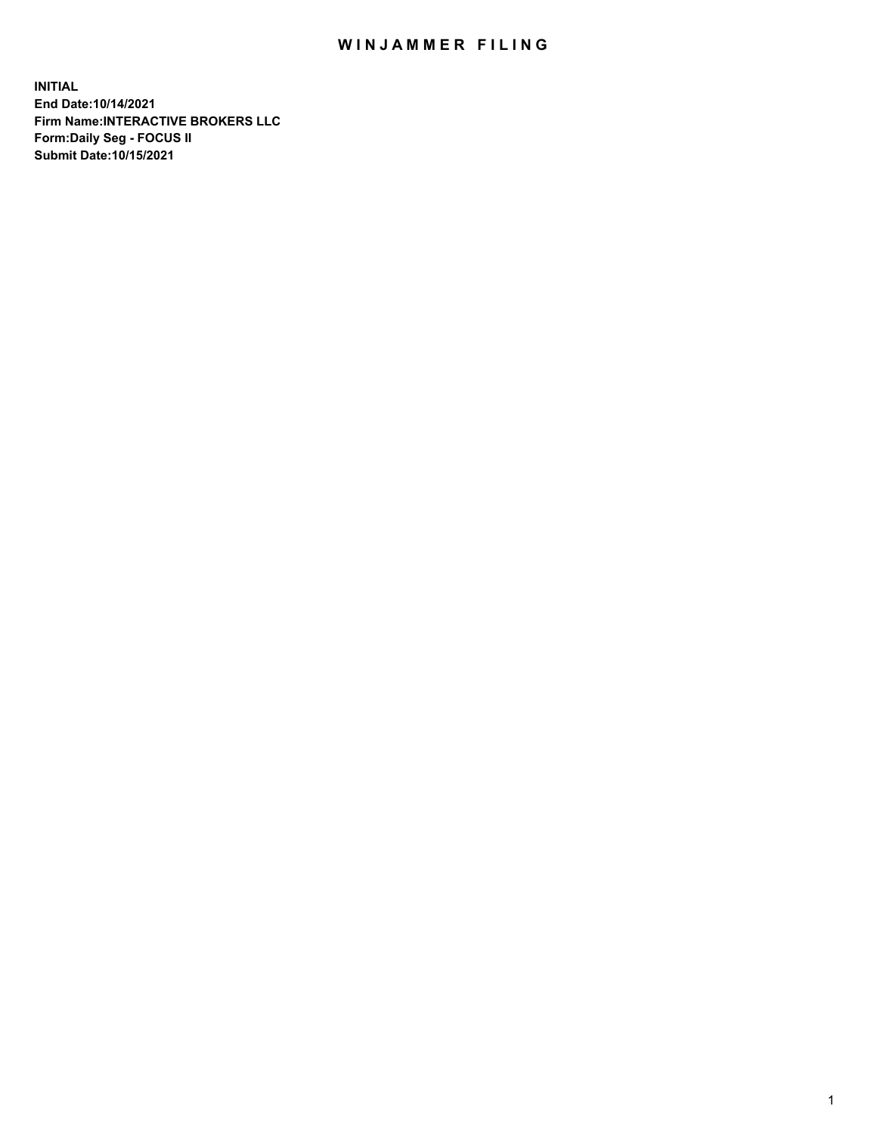## WIN JAMMER FILING

**INITIAL End Date:10/14/2021 Firm Name:INTERACTIVE BROKERS LLC Form:Daily Seg - FOCUS II Submit Date:10/15/2021**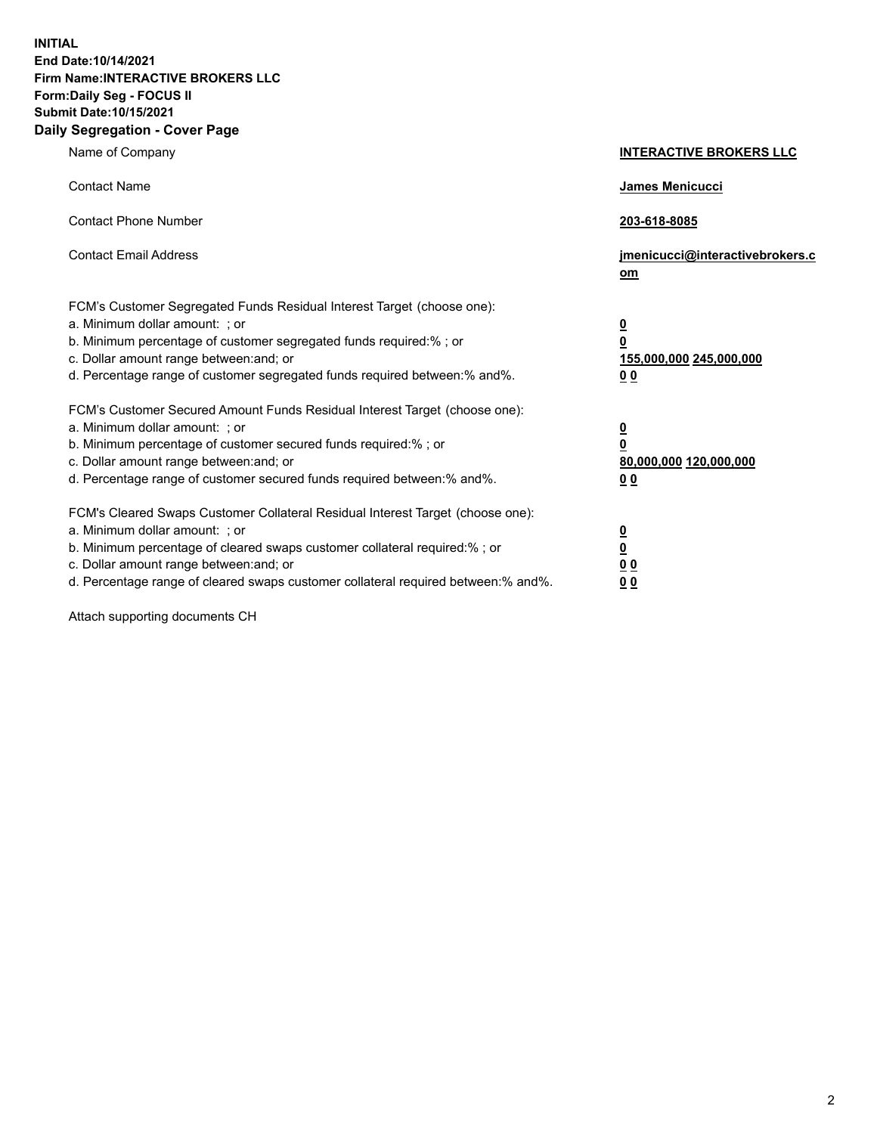**INITIAL End Date:10/14/2021 Firm Name:INTERACTIVE BROKERS LLC Form:Daily Seg - FOCUS II Submit Date:10/15/2021 Daily Segregation - Cover Page**

| Name of Company                                                                                                                                                                                                                                                                                                                | <b>INTERACTIVE BROKERS LLC</b>                                                                           |
|--------------------------------------------------------------------------------------------------------------------------------------------------------------------------------------------------------------------------------------------------------------------------------------------------------------------------------|----------------------------------------------------------------------------------------------------------|
| <b>Contact Name</b>                                                                                                                                                                                                                                                                                                            | James Menicucci                                                                                          |
| <b>Contact Phone Number</b>                                                                                                                                                                                                                                                                                                    | 203-618-8085                                                                                             |
| <b>Contact Email Address</b>                                                                                                                                                                                                                                                                                                   | jmenicucci@interactivebrokers.c<br>om                                                                    |
| FCM's Customer Segregated Funds Residual Interest Target (choose one):<br>a. Minimum dollar amount: ; or<br>b. Minimum percentage of customer segregated funds required:% ; or<br>c. Dollar amount range between: and; or<br>d. Percentage range of customer segregated funds required between:% and%.                         | $\overline{\mathbf{0}}$<br>$\overline{\mathbf{0}}$<br>155,000,000 245,000,000<br>0 <sub>0</sub>          |
| FCM's Customer Secured Amount Funds Residual Interest Target (choose one):<br>a. Minimum dollar amount: ; or<br>b. Minimum percentage of customer secured funds required:%; or<br>c. Dollar amount range between: and; or<br>d. Percentage range of customer secured funds required between:% and%.                            | $\overline{\mathbf{0}}$<br>$\overline{\mathbf{0}}$<br>80,000,000 120,000,000<br>00                       |
| FCM's Cleared Swaps Customer Collateral Residual Interest Target (choose one):<br>a. Minimum dollar amount: ; or<br>b. Minimum percentage of cleared swaps customer collateral required:% ; or<br>c. Dollar amount range between: and; or<br>d. Percentage range of cleared swaps customer collateral required between:% and%. | $\overline{\mathbf{0}}$<br>$\underline{\mathbf{0}}$<br>$\underline{0}$ $\underline{0}$<br>0 <sub>0</sub> |

Attach supporting documents CH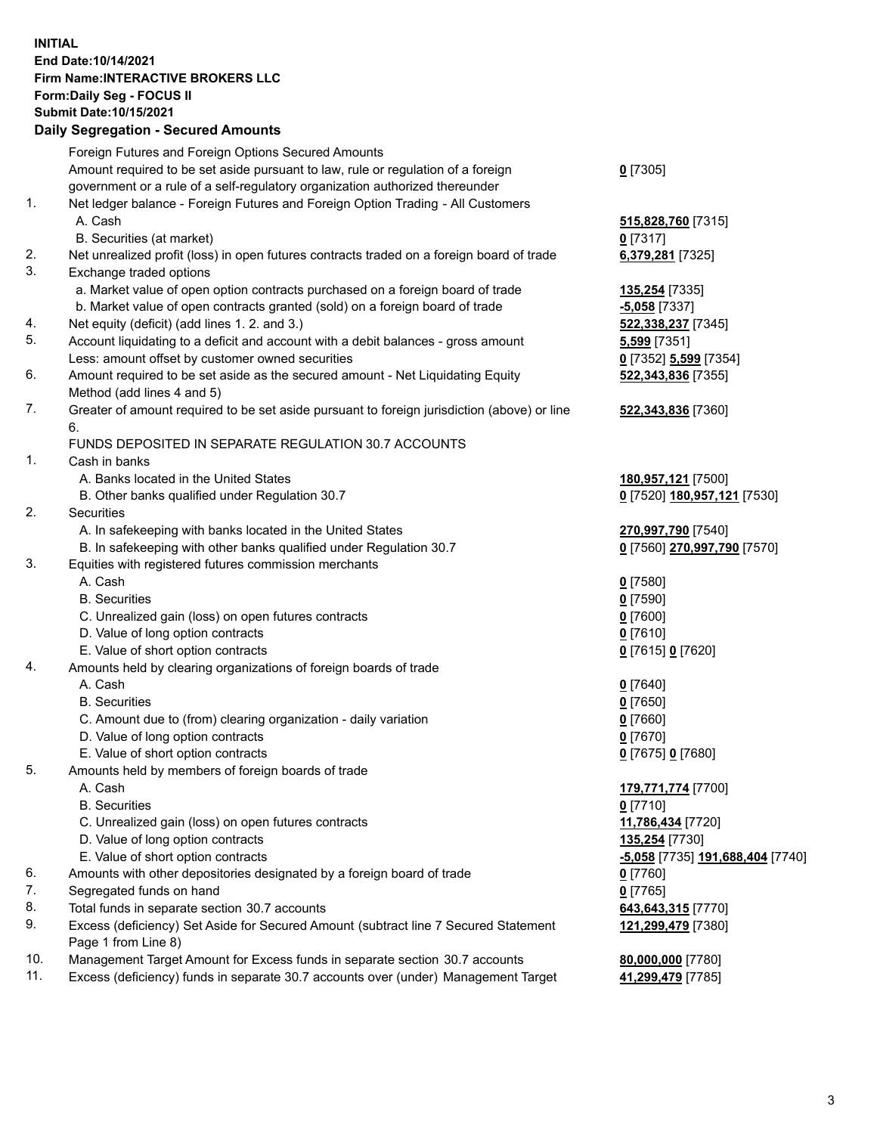## **INITIAL End Date:10/14/2021 Firm Name:INTERACTIVE BROKERS LLC Form:Daily Seg - FOCUS II Submit Date:10/15/2021**

| <b>Daily Segregation - Secured Amounts</b>          |                                                                                                                                                                                                                                                                                                                                                                                                                                                                                                                                                                                                                                                                                                                                                                                                                                                                                                                                                                                                                                                                                                                                                                                                                                                                                                                                                                                                                                                                                                                                                                                                                                                                                                                                                                                                                                                                                                                                                                                                                                                                                                                                                                                                                                                                                                                                                                                                                                                                                    |
|-----------------------------------------------------|------------------------------------------------------------------------------------------------------------------------------------------------------------------------------------------------------------------------------------------------------------------------------------------------------------------------------------------------------------------------------------------------------------------------------------------------------------------------------------------------------------------------------------------------------------------------------------------------------------------------------------------------------------------------------------------------------------------------------------------------------------------------------------------------------------------------------------------------------------------------------------------------------------------------------------------------------------------------------------------------------------------------------------------------------------------------------------------------------------------------------------------------------------------------------------------------------------------------------------------------------------------------------------------------------------------------------------------------------------------------------------------------------------------------------------------------------------------------------------------------------------------------------------------------------------------------------------------------------------------------------------------------------------------------------------------------------------------------------------------------------------------------------------------------------------------------------------------------------------------------------------------------------------------------------------------------------------------------------------------------------------------------------------------------------------------------------------------------------------------------------------------------------------------------------------------------------------------------------------------------------------------------------------------------------------------------------------------------------------------------------------------------------------------------------------------------------------------------------------|
| Foreign Futures and Foreign Options Secured Amounts |                                                                                                                                                                                                                                                                                                                                                                                                                                                                                                                                                                                                                                                                                                                                                                                                                                                                                                                                                                                                                                                                                                                                                                                                                                                                                                                                                                                                                                                                                                                                                                                                                                                                                                                                                                                                                                                                                                                                                                                                                                                                                                                                                                                                                                                                                                                                                                                                                                                                                    |
|                                                     | $0$ [7305]                                                                                                                                                                                                                                                                                                                                                                                                                                                                                                                                                                                                                                                                                                                                                                                                                                                                                                                                                                                                                                                                                                                                                                                                                                                                                                                                                                                                                                                                                                                                                                                                                                                                                                                                                                                                                                                                                                                                                                                                                                                                                                                                                                                                                                                                                                                                                                                                                                                                         |
|                                                     |                                                                                                                                                                                                                                                                                                                                                                                                                                                                                                                                                                                                                                                                                                                                                                                                                                                                                                                                                                                                                                                                                                                                                                                                                                                                                                                                                                                                                                                                                                                                                                                                                                                                                                                                                                                                                                                                                                                                                                                                                                                                                                                                                                                                                                                                                                                                                                                                                                                                                    |
|                                                     |                                                                                                                                                                                                                                                                                                                                                                                                                                                                                                                                                                                                                                                                                                                                                                                                                                                                                                                                                                                                                                                                                                                                                                                                                                                                                                                                                                                                                                                                                                                                                                                                                                                                                                                                                                                                                                                                                                                                                                                                                                                                                                                                                                                                                                                                                                                                                                                                                                                                                    |
|                                                     | 515,828,760 [7315]                                                                                                                                                                                                                                                                                                                                                                                                                                                                                                                                                                                                                                                                                                                                                                                                                                                                                                                                                                                                                                                                                                                                                                                                                                                                                                                                                                                                                                                                                                                                                                                                                                                                                                                                                                                                                                                                                                                                                                                                                                                                                                                                                                                                                                                                                                                                                                                                                                                                 |
|                                                     | $0$ [7317]                                                                                                                                                                                                                                                                                                                                                                                                                                                                                                                                                                                                                                                                                                                                                                                                                                                                                                                                                                                                                                                                                                                                                                                                                                                                                                                                                                                                                                                                                                                                                                                                                                                                                                                                                                                                                                                                                                                                                                                                                                                                                                                                                                                                                                                                                                                                                                                                                                                                         |
|                                                     | 6,379,281 [7325]                                                                                                                                                                                                                                                                                                                                                                                                                                                                                                                                                                                                                                                                                                                                                                                                                                                                                                                                                                                                                                                                                                                                                                                                                                                                                                                                                                                                                                                                                                                                                                                                                                                                                                                                                                                                                                                                                                                                                                                                                                                                                                                                                                                                                                                                                                                                                                                                                                                                   |
|                                                     |                                                                                                                                                                                                                                                                                                                                                                                                                                                                                                                                                                                                                                                                                                                                                                                                                                                                                                                                                                                                                                                                                                                                                                                                                                                                                                                                                                                                                                                                                                                                                                                                                                                                                                                                                                                                                                                                                                                                                                                                                                                                                                                                                                                                                                                                                                                                                                                                                                                                                    |
|                                                     | 135,254 [7335]                                                                                                                                                                                                                                                                                                                                                                                                                                                                                                                                                                                                                                                                                                                                                                                                                                                                                                                                                                                                                                                                                                                                                                                                                                                                                                                                                                                                                                                                                                                                                                                                                                                                                                                                                                                                                                                                                                                                                                                                                                                                                                                                                                                                                                                                                                                                                                                                                                                                     |
|                                                     | $-5,058$ [7337]                                                                                                                                                                                                                                                                                                                                                                                                                                                                                                                                                                                                                                                                                                                                                                                                                                                                                                                                                                                                                                                                                                                                                                                                                                                                                                                                                                                                                                                                                                                                                                                                                                                                                                                                                                                                                                                                                                                                                                                                                                                                                                                                                                                                                                                                                                                                                                                                                                                                    |
|                                                     | 522,338,237 [7345]                                                                                                                                                                                                                                                                                                                                                                                                                                                                                                                                                                                                                                                                                                                                                                                                                                                                                                                                                                                                                                                                                                                                                                                                                                                                                                                                                                                                                                                                                                                                                                                                                                                                                                                                                                                                                                                                                                                                                                                                                                                                                                                                                                                                                                                                                                                                                                                                                                                                 |
|                                                     | <b>5,599</b> [7351]                                                                                                                                                                                                                                                                                                                                                                                                                                                                                                                                                                                                                                                                                                                                                                                                                                                                                                                                                                                                                                                                                                                                                                                                                                                                                                                                                                                                                                                                                                                                                                                                                                                                                                                                                                                                                                                                                                                                                                                                                                                                                                                                                                                                                                                                                                                                                                                                                                                                |
|                                                     | 0 [7352] 5,599 [7354]                                                                                                                                                                                                                                                                                                                                                                                                                                                                                                                                                                                                                                                                                                                                                                                                                                                                                                                                                                                                                                                                                                                                                                                                                                                                                                                                                                                                                                                                                                                                                                                                                                                                                                                                                                                                                                                                                                                                                                                                                                                                                                                                                                                                                                                                                                                                                                                                                                                              |
|                                                     | 522,343,836 [7355]                                                                                                                                                                                                                                                                                                                                                                                                                                                                                                                                                                                                                                                                                                                                                                                                                                                                                                                                                                                                                                                                                                                                                                                                                                                                                                                                                                                                                                                                                                                                                                                                                                                                                                                                                                                                                                                                                                                                                                                                                                                                                                                                                                                                                                                                                                                                                                                                                                                                 |
|                                                     |                                                                                                                                                                                                                                                                                                                                                                                                                                                                                                                                                                                                                                                                                                                                                                                                                                                                                                                                                                                                                                                                                                                                                                                                                                                                                                                                                                                                                                                                                                                                                                                                                                                                                                                                                                                                                                                                                                                                                                                                                                                                                                                                                                                                                                                                                                                                                                                                                                                                                    |
|                                                     | 522,343,836 [7360]                                                                                                                                                                                                                                                                                                                                                                                                                                                                                                                                                                                                                                                                                                                                                                                                                                                                                                                                                                                                                                                                                                                                                                                                                                                                                                                                                                                                                                                                                                                                                                                                                                                                                                                                                                                                                                                                                                                                                                                                                                                                                                                                                                                                                                                                                                                                                                                                                                                                 |
|                                                     |                                                                                                                                                                                                                                                                                                                                                                                                                                                                                                                                                                                                                                                                                                                                                                                                                                                                                                                                                                                                                                                                                                                                                                                                                                                                                                                                                                                                                                                                                                                                                                                                                                                                                                                                                                                                                                                                                                                                                                                                                                                                                                                                                                                                                                                                                                                                                                                                                                                                                    |
|                                                     |                                                                                                                                                                                                                                                                                                                                                                                                                                                                                                                                                                                                                                                                                                                                                                                                                                                                                                                                                                                                                                                                                                                                                                                                                                                                                                                                                                                                                                                                                                                                                                                                                                                                                                                                                                                                                                                                                                                                                                                                                                                                                                                                                                                                                                                                                                                                                                                                                                                                                    |
|                                                     |                                                                                                                                                                                                                                                                                                                                                                                                                                                                                                                                                                                                                                                                                                                                                                                                                                                                                                                                                                                                                                                                                                                                                                                                                                                                                                                                                                                                                                                                                                                                                                                                                                                                                                                                                                                                                                                                                                                                                                                                                                                                                                                                                                                                                                                                                                                                                                                                                                                                                    |
|                                                     | 180,957,121 [7500]                                                                                                                                                                                                                                                                                                                                                                                                                                                                                                                                                                                                                                                                                                                                                                                                                                                                                                                                                                                                                                                                                                                                                                                                                                                                                                                                                                                                                                                                                                                                                                                                                                                                                                                                                                                                                                                                                                                                                                                                                                                                                                                                                                                                                                                                                                                                                                                                                                                                 |
|                                                     | 0 [7520] 180,957,121 [7530]                                                                                                                                                                                                                                                                                                                                                                                                                                                                                                                                                                                                                                                                                                                                                                                                                                                                                                                                                                                                                                                                                                                                                                                                                                                                                                                                                                                                                                                                                                                                                                                                                                                                                                                                                                                                                                                                                                                                                                                                                                                                                                                                                                                                                                                                                                                                                                                                                                                        |
|                                                     |                                                                                                                                                                                                                                                                                                                                                                                                                                                                                                                                                                                                                                                                                                                                                                                                                                                                                                                                                                                                                                                                                                                                                                                                                                                                                                                                                                                                                                                                                                                                                                                                                                                                                                                                                                                                                                                                                                                                                                                                                                                                                                                                                                                                                                                                                                                                                                                                                                                                                    |
|                                                     | 270,997,790 [7540]                                                                                                                                                                                                                                                                                                                                                                                                                                                                                                                                                                                                                                                                                                                                                                                                                                                                                                                                                                                                                                                                                                                                                                                                                                                                                                                                                                                                                                                                                                                                                                                                                                                                                                                                                                                                                                                                                                                                                                                                                                                                                                                                                                                                                                                                                                                                                                                                                                                                 |
|                                                     | 0 [7560] 270,997,790 [7570]                                                                                                                                                                                                                                                                                                                                                                                                                                                                                                                                                                                                                                                                                                                                                                                                                                                                                                                                                                                                                                                                                                                                                                                                                                                                                                                                                                                                                                                                                                                                                                                                                                                                                                                                                                                                                                                                                                                                                                                                                                                                                                                                                                                                                                                                                                                                                                                                                                                        |
|                                                     |                                                                                                                                                                                                                                                                                                                                                                                                                                                                                                                                                                                                                                                                                                                                                                                                                                                                                                                                                                                                                                                                                                                                                                                                                                                                                                                                                                                                                                                                                                                                                                                                                                                                                                                                                                                                                                                                                                                                                                                                                                                                                                                                                                                                                                                                                                                                                                                                                                                                                    |
|                                                     | $0$ [7580]                                                                                                                                                                                                                                                                                                                                                                                                                                                                                                                                                                                                                                                                                                                                                                                                                                                                                                                                                                                                                                                                                                                                                                                                                                                                                                                                                                                                                                                                                                                                                                                                                                                                                                                                                                                                                                                                                                                                                                                                                                                                                                                                                                                                                                                                                                                                                                                                                                                                         |
|                                                     | <u>0</u> [7590]                                                                                                                                                                                                                                                                                                                                                                                                                                                                                                                                                                                                                                                                                                                                                                                                                                                                                                                                                                                                                                                                                                                                                                                                                                                                                                                                                                                                                                                                                                                                                                                                                                                                                                                                                                                                                                                                                                                                                                                                                                                                                                                                                                                                                                                                                                                                                                                                                                                                    |
|                                                     | $0$ [7600]                                                                                                                                                                                                                                                                                                                                                                                                                                                                                                                                                                                                                                                                                                                                                                                                                                                                                                                                                                                                                                                                                                                                                                                                                                                                                                                                                                                                                                                                                                                                                                                                                                                                                                                                                                                                                                                                                                                                                                                                                                                                                                                                                                                                                                                                                                                                                                                                                                                                         |
|                                                     | $0$ [7610]                                                                                                                                                                                                                                                                                                                                                                                                                                                                                                                                                                                                                                                                                                                                                                                                                                                                                                                                                                                                                                                                                                                                                                                                                                                                                                                                                                                                                                                                                                                                                                                                                                                                                                                                                                                                                                                                                                                                                                                                                                                                                                                                                                                                                                                                                                                                                                                                                                                                         |
|                                                     | 0 [7615] 0 [7620]                                                                                                                                                                                                                                                                                                                                                                                                                                                                                                                                                                                                                                                                                                                                                                                                                                                                                                                                                                                                                                                                                                                                                                                                                                                                                                                                                                                                                                                                                                                                                                                                                                                                                                                                                                                                                                                                                                                                                                                                                                                                                                                                                                                                                                                                                                                                                                                                                                                                  |
|                                                     |                                                                                                                                                                                                                                                                                                                                                                                                                                                                                                                                                                                                                                                                                                                                                                                                                                                                                                                                                                                                                                                                                                                                                                                                                                                                                                                                                                                                                                                                                                                                                                                                                                                                                                                                                                                                                                                                                                                                                                                                                                                                                                                                                                                                                                                                                                                                                                                                                                                                                    |
|                                                     | $0$ [7640]                                                                                                                                                                                                                                                                                                                                                                                                                                                                                                                                                                                                                                                                                                                                                                                                                                                                                                                                                                                                                                                                                                                                                                                                                                                                                                                                                                                                                                                                                                                                                                                                                                                                                                                                                                                                                                                                                                                                                                                                                                                                                                                                                                                                                                                                                                                                                                                                                                                                         |
|                                                     | <u>0</u> [7650]                                                                                                                                                                                                                                                                                                                                                                                                                                                                                                                                                                                                                                                                                                                                                                                                                                                                                                                                                                                                                                                                                                                                                                                                                                                                                                                                                                                                                                                                                                                                                                                                                                                                                                                                                                                                                                                                                                                                                                                                                                                                                                                                                                                                                                                                                                                                                                                                                                                                    |
|                                                     | $0$ [7660]                                                                                                                                                                                                                                                                                                                                                                                                                                                                                                                                                                                                                                                                                                                                                                                                                                                                                                                                                                                                                                                                                                                                                                                                                                                                                                                                                                                                                                                                                                                                                                                                                                                                                                                                                                                                                                                                                                                                                                                                                                                                                                                                                                                                                                                                                                                                                                                                                                                                         |
|                                                     | $0$ [7670]                                                                                                                                                                                                                                                                                                                                                                                                                                                                                                                                                                                                                                                                                                                                                                                                                                                                                                                                                                                                                                                                                                                                                                                                                                                                                                                                                                                                                                                                                                                                                                                                                                                                                                                                                                                                                                                                                                                                                                                                                                                                                                                                                                                                                                                                                                                                                                                                                                                                         |
|                                                     | 0 [7675] 0 [7680]                                                                                                                                                                                                                                                                                                                                                                                                                                                                                                                                                                                                                                                                                                                                                                                                                                                                                                                                                                                                                                                                                                                                                                                                                                                                                                                                                                                                                                                                                                                                                                                                                                                                                                                                                                                                                                                                                                                                                                                                                                                                                                                                                                                                                                                                                                                                                                                                                                                                  |
|                                                     |                                                                                                                                                                                                                                                                                                                                                                                                                                                                                                                                                                                                                                                                                                                                                                                                                                                                                                                                                                                                                                                                                                                                                                                                                                                                                                                                                                                                                                                                                                                                                                                                                                                                                                                                                                                                                                                                                                                                                                                                                                                                                                                                                                                                                                                                                                                                                                                                                                                                                    |
|                                                     | 179,771,774 [7700]                                                                                                                                                                                                                                                                                                                                                                                                                                                                                                                                                                                                                                                                                                                                                                                                                                                                                                                                                                                                                                                                                                                                                                                                                                                                                                                                                                                                                                                                                                                                                                                                                                                                                                                                                                                                                                                                                                                                                                                                                                                                                                                                                                                                                                                                                                                                                                                                                                                                 |
|                                                     | $0$ [7710]                                                                                                                                                                                                                                                                                                                                                                                                                                                                                                                                                                                                                                                                                                                                                                                                                                                                                                                                                                                                                                                                                                                                                                                                                                                                                                                                                                                                                                                                                                                                                                                                                                                                                                                                                                                                                                                                                                                                                                                                                                                                                                                                                                                                                                                                                                                                                                                                                                                                         |
|                                                     | 11,786,434 [7720]                                                                                                                                                                                                                                                                                                                                                                                                                                                                                                                                                                                                                                                                                                                                                                                                                                                                                                                                                                                                                                                                                                                                                                                                                                                                                                                                                                                                                                                                                                                                                                                                                                                                                                                                                                                                                                                                                                                                                                                                                                                                                                                                                                                                                                                                                                                                                                                                                                                                  |
|                                                     | 135,254 [7730]                                                                                                                                                                                                                                                                                                                                                                                                                                                                                                                                                                                                                                                                                                                                                                                                                                                                                                                                                                                                                                                                                                                                                                                                                                                                                                                                                                                                                                                                                                                                                                                                                                                                                                                                                                                                                                                                                                                                                                                                                                                                                                                                                                                                                                                                                                                                                                                                                                                                     |
|                                                     | -5,058 [7735] 191,688,404 [7740]                                                                                                                                                                                                                                                                                                                                                                                                                                                                                                                                                                                                                                                                                                                                                                                                                                                                                                                                                                                                                                                                                                                                                                                                                                                                                                                                                                                                                                                                                                                                                                                                                                                                                                                                                                                                                                                                                                                                                                                                                                                                                                                                                                                                                                                                                                                                                                                                                                                   |
|                                                     | $0$ [7760]                                                                                                                                                                                                                                                                                                                                                                                                                                                                                                                                                                                                                                                                                                                                                                                                                                                                                                                                                                                                                                                                                                                                                                                                                                                                                                                                                                                                                                                                                                                                                                                                                                                                                                                                                                                                                                                                                                                                                                                                                                                                                                                                                                                                                                                                                                                                                                                                                                                                         |
|                                                     | $0$ [7765]                                                                                                                                                                                                                                                                                                                                                                                                                                                                                                                                                                                                                                                                                                                                                                                                                                                                                                                                                                                                                                                                                                                                                                                                                                                                                                                                                                                                                                                                                                                                                                                                                                                                                                                                                                                                                                                                                                                                                                                                                                                                                                                                                                                                                                                                                                                                                                                                                                                                         |
|                                                     | 643,643,315 [7770]                                                                                                                                                                                                                                                                                                                                                                                                                                                                                                                                                                                                                                                                                                                                                                                                                                                                                                                                                                                                                                                                                                                                                                                                                                                                                                                                                                                                                                                                                                                                                                                                                                                                                                                                                                                                                                                                                                                                                                                                                                                                                                                                                                                                                                                                                                                                                                                                                                                                 |
|                                                     |                                                                                                                                                                                                                                                                                                                                                                                                                                                                                                                                                                                                                                                                                                                                                                                                                                                                                                                                                                                                                                                                                                                                                                                                                                                                                                                                                                                                                                                                                                                                                                                                                                                                                                                                                                                                                                                                                                                                                                                                                                                                                                                                                                                                                                                                                                                                                                                                                                                                                    |
|                                                     | 121,299,479 [7380]                                                                                                                                                                                                                                                                                                                                                                                                                                                                                                                                                                                                                                                                                                                                                                                                                                                                                                                                                                                                                                                                                                                                                                                                                                                                                                                                                                                                                                                                                                                                                                                                                                                                                                                                                                                                                                                                                                                                                                                                                                                                                                                                                                                                                                                                                                                                                                                                                                                                 |
|                                                     | 80,000,000 [7780]                                                                                                                                                                                                                                                                                                                                                                                                                                                                                                                                                                                                                                                                                                                                                                                                                                                                                                                                                                                                                                                                                                                                                                                                                                                                                                                                                                                                                                                                                                                                                                                                                                                                                                                                                                                                                                                                                                                                                                                                                                                                                                                                                                                                                                                                                                                                                                                                                                                                  |
|                                                     | 41,299,479 [7785]                                                                                                                                                                                                                                                                                                                                                                                                                                                                                                                                                                                                                                                                                                                                                                                                                                                                                                                                                                                                                                                                                                                                                                                                                                                                                                                                                                                                                                                                                                                                                                                                                                                                                                                                                                                                                                                                                                                                                                                                                                                                                                                                                                                                                                                                                                                                                                                                                                                                  |
|                                                     |                                                                                                                                                                                                                                                                                                                                                                                                                                                                                                                                                                                                                                                                                                                                                                                                                                                                                                                                                                                                                                                                                                                                                                                                                                                                                                                                                                                                                                                                                                                                                                                                                                                                                                                                                                                                                                                                                                                                                                                                                                                                                                                                                                                                                                                                                                                                                                                                                                                                                    |
|                                                     | Amount required to be set aside pursuant to law, rule or regulation of a foreign<br>government or a rule of a self-regulatory organization authorized thereunder<br>Net ledger balance - Foreign Futures and Foreign Option Trading - All Customers<br>A. Cash<br>B. Securities (at market)<br>Net unrealized profit (loss) in open futures contracts traded on a foreign board of trade<br>Exchange traded options<br>a. Market value of open option contracts purchased on a foreign board of trade<br>b. Market value of open contracts granted (sold) on a foreign board of trade<br>Net equity (deficit) (add lines 1. 2. and 3.)<br>Account liquidating to a deficit and account with a debit balances - gross amount<br>Less: amount offset by customer owned securities<br>Amount required to be set aside as the secured amount - Net Liquidating Equity<br>Method (add lines 4 and 5)<br>Greater of amount required to be set aside pursuant to foreign jurisdiction (above) or line<br>6.<br>FUNDS DEPOSITED IN SEPARATE REGULATION 30.7 ACCOUNTS<br>Cash in banks<br>A. Banks located in the United States<br>B. Other banks qualified under Regulation 30.7<br>Securities<br>A. In safekeeping with banks located in the United States<br>B. In safekeeping with other banks qualified under Regulation 30.7<br>Equities with registered futures commission merchants<br>A. Cash<br><b>B.</b> Securities<br>C. Unrealized gain (loss) on open futures contracts<br>D. Value of long option contracts<br>E. Value of short option contracts<br>Amounts held by clearing organizations of foreign boards of trade<br>A. Cash<br><b>B.</b> Securities<br>C. Amount due to (from) clearing organization - daily variation<br>D. Value of long option contracts<br>E. Value of short option contracts<br>Amounts held by members of foreign boards of trade<br>A. Cash<br><b>B.</b> Securities<br>C. Unrealized gain (loss) on open futures contracts<br>D. Value of long option contracts<br>E. Value of short option contracts<br>Amounts with other depositories designated by a foreign board of trade<br>Segregated funds on hand<br>Total funds in separate section 30.7 accounts<br>Excess (deficiency) Set Aside for Secured Amount (subtract line 7 Secured Statement<br>Page 1 from Line 8)<br>Management Target Amount for Excess funds in separate section 30.7 accounts<br>Excess (deficiency) funds in separate 30.7 accounts over (under) Management Target |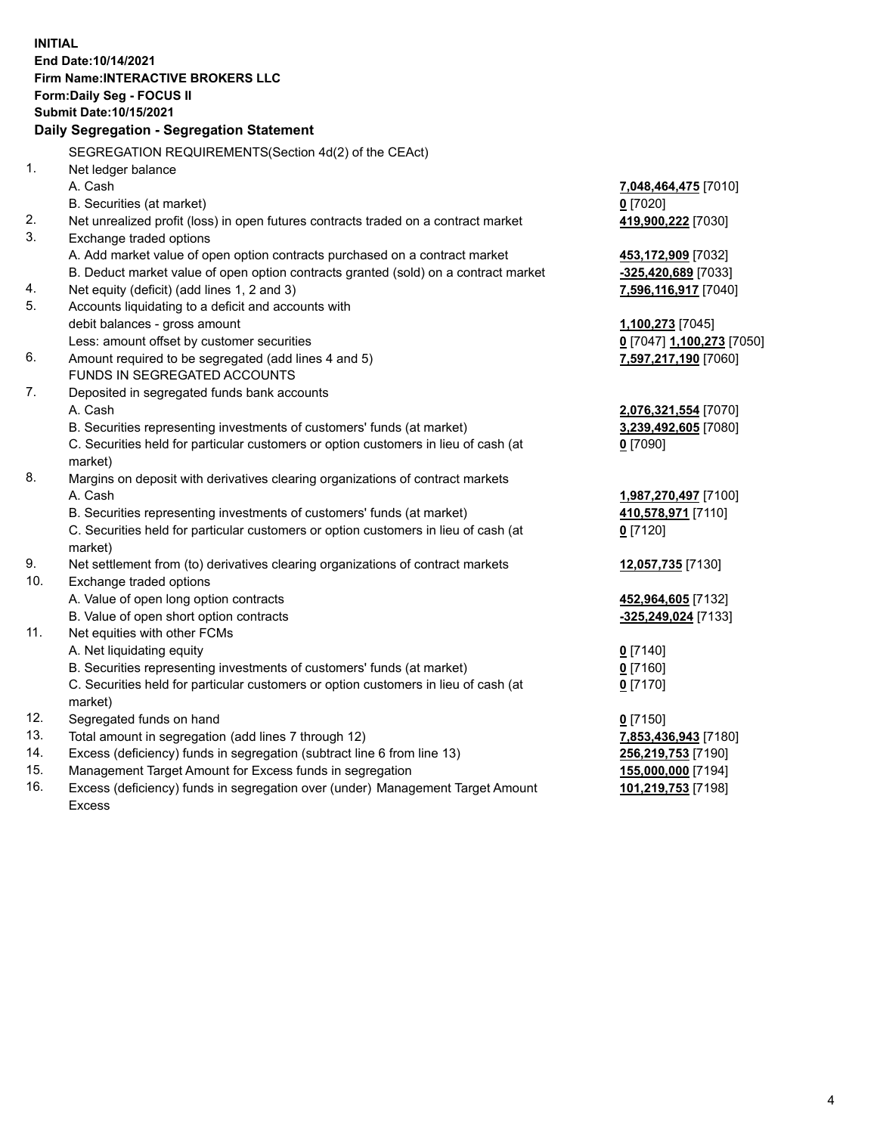**INITIAL End Date:10/14/2021 Firm Name:INTERACTIVE BROKERS LLC Form:Daily Seg - FOCUS II Submit Date:10/15/2021 Daily Segregation - Segregation Statement** SEGREGATION REQUIREMENTS(Section 4d(2) of the CEAct) 1. Net ledger balance A. Cash **7,048,464,475** [7010] B. Securities (at market) **0** [7020] 2. Net unrealized profit (loss) in open futures contracts traded on a contract market **419,900,222** [7030] 3. Exchange traded options A. Add market value of open option contracts purchased on a contract market **453,172,909** [7032] B. Deduct market value of open option contracts granted (sold) on a contract market **-325,420,689** [7033] 4. Net equity (deficit) (add lines 1, 2 and 3) **7,596,116,917** [7040] 5. Accounts liquidating to a deficit and accounts with debit balances - gross amount **1,100,273** [7045] Less: amount offset by customer securities **0** [7047] **1,100,273** [7050] 6. Amount required to be segregated (add lines 4 and 5) **7,597,217,190** [7060] FUNDS IN SEGREGATED ACCOUNTS 7. Deposited in segregated funds bank accounts A. Cash **2,076,321,554** [7070] B. Securities representing investments of customers' funds (at market) **3,239,492,605** [7080] C. Securities held for particular customers or option customers in lieu of cash (at market) **0** [7090] 8. Margins on deposit with derivatives clearing organizations of contract markets A. Cash **1,987,270,497** [7100] B. Securities representing investments of customers' funds (at market) **410,578,971** [7110] C. Securities held for particular customers or option customers in lieu of cash (at market) **0** [7120] 9. Net settlement from (to) derivatives clearing organizations of contract markets **12,057,735** [7130] 10. Exchange traded options A. Value of open long option contracts **452,964,605** [7132] B. Value of open short option contracts **-325,249,024** [7133] 11. Net equities with other FCMs A. Net liquidating equity **0** [7140] B. Securities representing investments of customers' funds (at market) **0** [7160] C. Securities held for particular customers or option customers in lieu of cash (at market) **0** [7170] 12. Segregated funds on hand **0** [7150] 13. Total amount in segregation (add lines 7 through 12) **7,853,436,943** [7180] 14. Excess (deficiency) funds in segregation (subtract line 6 from line 13) **256,219,753** [7190] 15. Management Target Amount for Excess funds in segregation **155,000,000** [7194] 16. Excess (deficiency) funds in segregation over (under) Management Target Amount Excess **101,219,753** [7198]